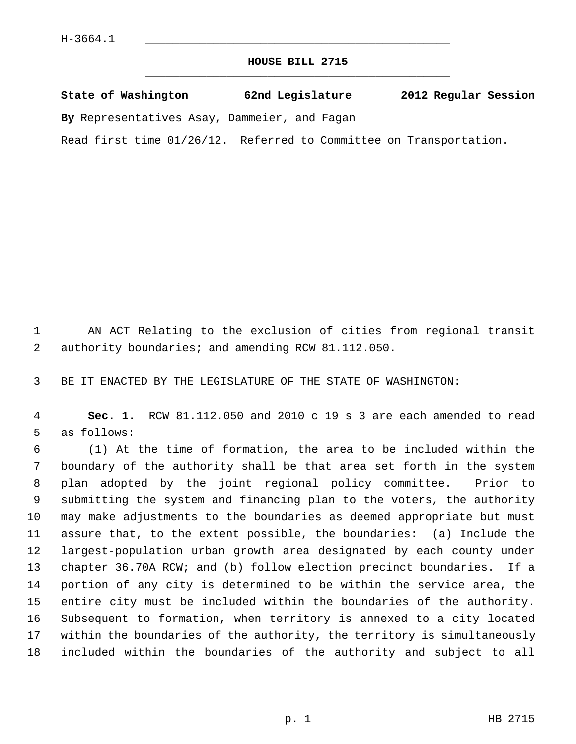## **HOUSE BILL 2715** \_\_\_\_\_\_\_\_\_\_\_\_\_\_\_\_\_\_\_\_\_\_\_\_\_\_\_\_\_\_\_\_\_\_\_\_\_\_\_\_\_\_\_\_\_

|  | State of Washington | 62nd Legislature | 2012 Regular Session |
|--|---------------------|------------------|----------------------|
|  |                     |                  |                      |

**By** Representatives Asay, Dammeier, and Fagan

Read first time 01/26/12. Referred to Committee on Transportation.

 1 AN ACT Relating to the exclusion of cities from regional transit 2 authority boundaries; and amending RCW 81.112.050.

3 BE IT ENACTED BY THE LEGISLATURE OF THE STATE OF WASHINGTON:

 4 **Sec. 1.** RCW 81.112.050 and 2010 c 19 s 3 are each amended to read 5 as follows:

 6 (1) At the time of formation, the area to be included within the 7 boundary of the authority shall be that area set forth in the system 8 plan adopted by the joint regional policy committee. Prior to 9 submitting the system and financing plan to the voters, the authority 10 may make adjustments to the boundaries as deemed appropriate but must 11 assure that, to the extent possible, the boundaries: (a) Include the 12 largest-population urban growth area designated by each county under 13 chapter 36.70A RCW; and (b) follow election precinct boundaries. If a 14 portion of any city is determined to be within the service area, the 15 entire city must be included within the boundaries of the authority. 16 Subsequent to formation, when territory is annexed to a city located 17 within the boundaries of the authority, the territory is simultaneously 18 included within the boundaries of the authority and subject to all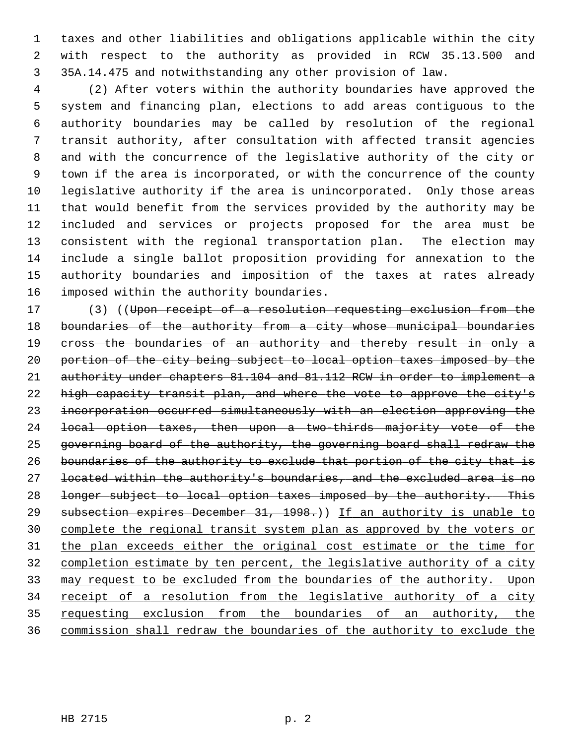1 taxes and other liabilities and obligations applicable within the city 2 with respect to the authority as provided in RCW 35.13.500 and 3 35A.14.475 and notwithstanding any other provision of law.

 4 (2) After voters within the authority boundaries have approved the 5 system and financing plan, elections to add areas contiguous to the 6 authority boundaries may be called by resolution of the regional 7 transit authority, after consultation with affected transit agencies 8 and with the concurrence of the legislative authority of the city or 9 town if the area is incorporated, or with the concurrence of the county 10 legislative authority if the area is unincorporated. Only those areas 11 that would benefit from the services provided by the authority may be 12 included and services or projects proposed for the area must be 13 consistent with the regional transportation plan. The election may 14 include a single ballot proposition providing for annexation to the 15 authority boundaries and imposition of the taxes at rates already 16 imposed within the authority boundaries.

17 (3) ((Upon receipt of a resolution requesting exclusion from the 18 boundaries of the authority from a city whose municipal boundaries 19 cross the boundaries of an authority and thereby result in only a 20 portion of the city being subject to local option taxes imposed by the 21 authority under chapters 81.104 and 81.112 RCW in order to implement a 22 high capacity transit plan, and where the vote to approve the city's 23 incorporation occurred simultaneously with an election approving the 24 local option taxes, then upon a two-thirds majority vote of the 25 governing board of the authority, the governing board shall redraw the 26 boundaries of the authority to exclude that portion of the city that is 27 located within the authority's boundaries, and the excluded area is no 28 longer subject to local option taxes imposed by the authority. This 29 subsection expires December 31, 1998.)) If an authority is unable to 30 complete the regional transit system plan as approved by the voters or 31 the plan exceeds either the original cost estimate or the time for 32 completion estimate by ten percent, the legislative authority of a city 33 may request to be excluded from the boundaries of the authority. Upon 34 receipt of a resolution from the legislative authority of a city 35 requesting exclusion from the boundaries of an authority, the 36 commission shall redraw the boundaries of the authority to exclude the